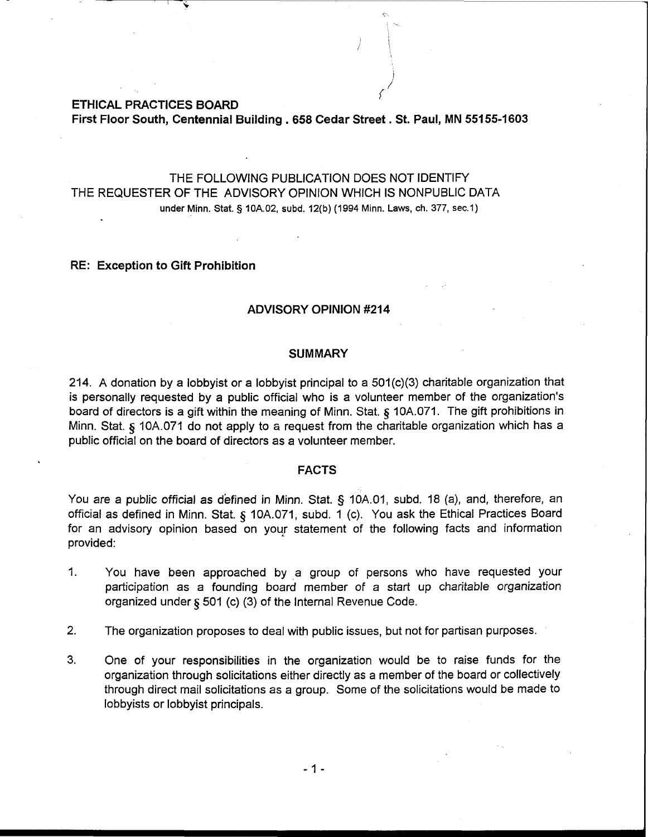**ETHICAL PRACTICES BOARD** 

**First Floor South, Centennial Building** . **658 Cedar Street. St. Paul, MN 55155-1603** 

1

 $\left\langle \frac{1}{2} \right\rangle$ 

THE FOLLOWING PUBLICATION DOES NOT IDENTIFY THE REQUESTER OF THE ADVISORY OPINION WHICH IS NONPUBLIC DATA **under Minn. Stat. 5 10A.02, subd. 12(b) (1994 Minn. Laws, ch.** 377, **sec.1)** 

## **RE: Exception to Gift Prohibition**

### **ADVISORY OPINION #214**

## **SUMMARY**

214. A donation by a lobbyist or a lobbyist principal to a 501(c)(3) charitable organization that is personally requested by a public official who is a volunteer member of the organization's board of directors is a gift within the meaning of Minn. Stat. *5* lOA.071. The gift prohibitions in Minn. Stat. *5* lOA.071 do not apply to a request from the charitable organization which has a public official on the board of directors as a volunteer member.

### **FACTS**

You are a public official as defined in Minn. Stat. § 10A.01, subd. 18 (a), and, therefore, an official as defined in Minn. Stat. *5* 10A.071, subd. 1 (c). You ask the Ethical Practices Board for an advisory opinion based on your statement of the following facts and information provided:

- 1. You have been approached by a group of persons who have requested your participation as a founding board member of a start up charitable organization organized under *5* 501 (c) (3) of the Internal Revenue Code.
- **2.** The organization proposes to deal with public issues, but not for partisan purposes.
- 3. One of your responsibilities in the organization would be to raise funds for the organization through solicitations either directly as a member of the board or collectively through direct mail solicitations as a group. Some of the solicitations would be made to lobbyists or lobbyist principals.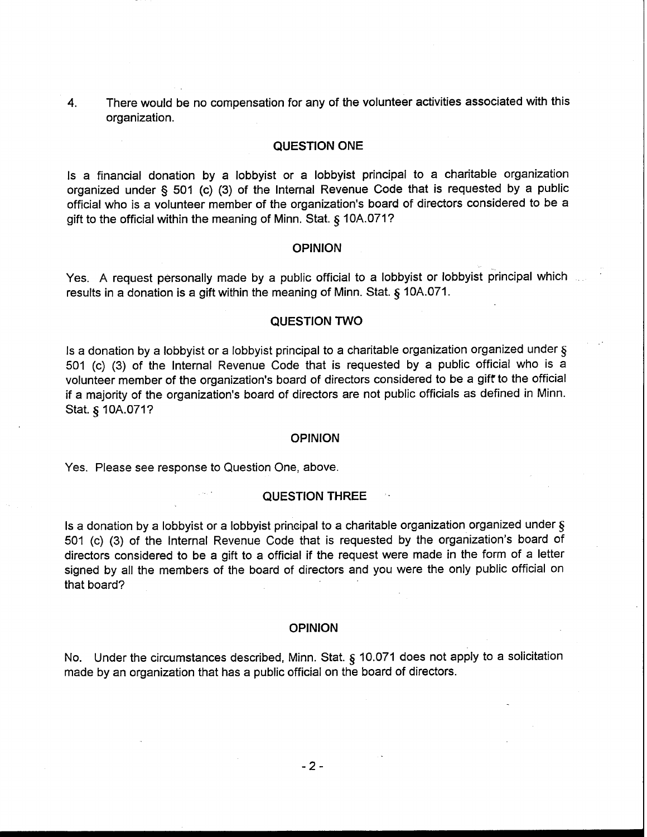**4.** There would be no compensation for any of the volunteer activities associated with this organization.

## **QUESTION ONE**

Is a financial donation by a lobbyist or a lobbyist principal to a charitable organization organized under § 501 (c) (3) of the Internal Revenue Code that is requested by a public official who is a volunteer member of the organization's board of directors considered to be a gift to the official within the meaning of Minn. Stat. **8** 10A.071?

#### **OPINION**

Yes. A request personally made by a public official to a lobbyist or lobbyist principal which results in a donation is a gift within the meaning of Minn. Stat. **5** 10A.071.

## **QUESTION TWO**

Is a donation by a lobbyist or a lobbyist principal to a charitable organization organized under  $\zeta$ 501 (c) (3) of the Internal Revenue Code that is requested by a public official who is a volunteer member of the organization's board of directors considered to be a gift to the official if a majority of the organization's board of directors are not public officials as defined in Minn. Stat. **5** 10A.071?

#### **OPINION**

Yes. Please see response to Question One, above.

## **QUESTION THREE**

Is a donation by a lobbyist or a lobbyist principal to a charitable organization organized under  $\S$ 501 (c) (3) of the Internal Revenue Code that is requested by the organization's board of directors considered to be a gift to a official if the request were made in the form of a letter signed by all the members of the board of directors and you were the only public official on that board?

### **OPINION**

No. Under the circumstances described, Minn. Stat. **5** 10.071 does not apply to a solicitation made by an organization that has a public official on the board of directors.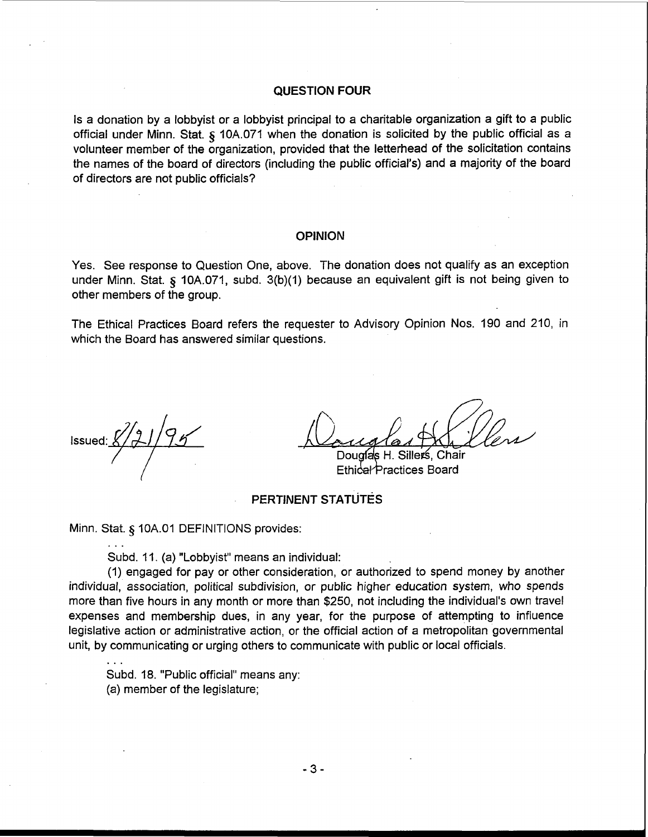## **QUESTION FOUR**

Is a donation by a lobbyist or a lobbyist principal to a charitable organization a gift to a public official under Minn. Stat. § 10A.071 when the donation is solicited by the public official as a volunteer member of the organization, provided that the letterhead of the solicitation contains the names of the board of directors (including the public official's) and a majority of the board of directors are not public officials?

### **OPINION**

Yes. See response to Question One, above. The donation does not qualify as an exception under Minn. Stat. § 10A.071, subd. 3(b)(1) because an equivalent gift is not being given to other members of the group.

The Ethical Practices Board refers the requester to Advisory Opinion Nos. 190 and 210, in which the Board has answered similar questions.

...

...

Ethical Practices Board

# PERTINENT STATUTES

Minn. Stat. § 10A.01 DEFINITIONS provides:

Subd. 11. (a) "Lobbyist" means an individual:

(1) engaged for pay or other consideration, or authorized to spend money by another individual, association, political subdivision, or public higher education system, who spends more than five hours in any month or more than \$250, not including the individual's own travel expenses and membership dues, in any year, for the purpose of attempting to influence legislative action or administrative action, or the official action of a metropolitan governmental unit, by communicating or urging others to communicate with public or local officials.

Subd. 18. "Public official" means any:

(a) member of the legislature;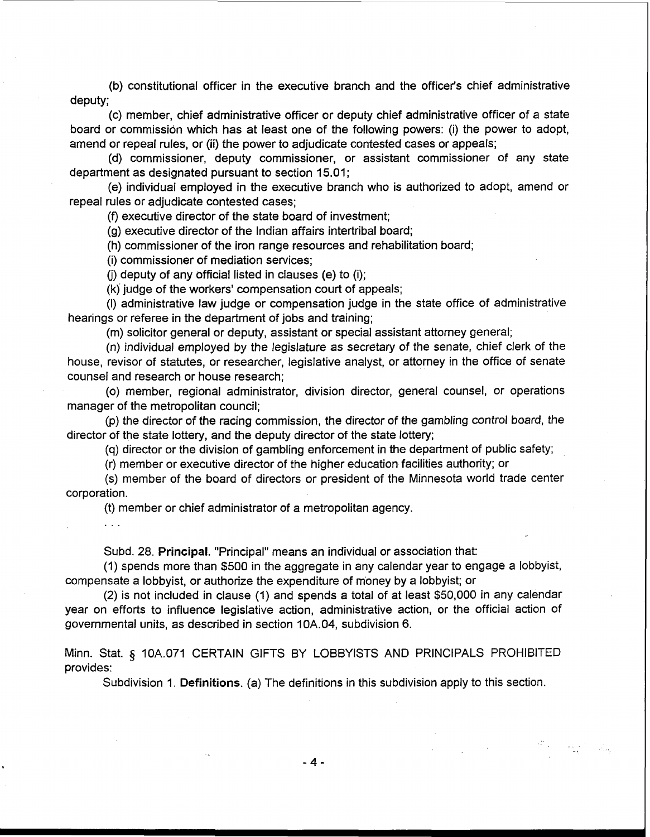(b) constitutional officer in the executive branch and the officer's chief administrative deputy;

(c) member, chief administrative officer or deputy chief administrative officer of a state board or commissidn which has at least one of the following powers: (i) the power to adopt, amend or repeal rules, or (ii) the power to adjudicate contested cases or appeals;

(d) commissioner, deputy commissioner, or assistant commissioner of any state department as designated pursuant to section 15.01;

(e) individual employed in the executive branch who is authorized to adopt, amend or repeal rules or adjudicate contested cases;

(f) executive director of the state board of investment;

(g) executive director of the Indian affairs intertribal board;

(h) commissioner of the iron range resources and rehabilitation board;

(i) commissioner of mediation services;

(i) deputy of any official listed in clauses (e) to (i);

(k) judge of the workers' compensation court of appeals;

(I) administrative law judge or compensation judge in the state office of administrative hearings or referee in the department of jobs and training;

(m) solicitor general or deputy, assistant or special assistant attorney general;

(n) individual employed by the legislature as secretary of the senate, chief clerk of the house, revisor of statutes, or researcher, legislative analyst, or attorney in the office of senate counsel and research or house research;

(0) member, regional administrator, division director, general counsel, or operations manager of the metropolitan council;

(p) the director of the racing commission, the director of the gambling control board, the director of the state lottery, and the deputy director of the state lottery;

(q) director or the division of gambling enforcement in the department of public safety;

(r) member or executive director of the higher education facilities authority; or

(s) member of the board of directors or president of the Minnesota world trade center corporation.

(t) member or chief administrator of a metropolitan agency.

Subd. 28. Principal. "Principal" means an individual or association that:

(1) spends more than \$500 in the aggregate in any calendar year to engage a lobbyist, compensate a lobbyist, or authorize the expenditure of money by a lobbyist; or

(2) is not included in clause (1) and spends a total of at least \$50,000 in any calendar year on efforts to influence legislative action, administrative action, or the official action of governmental units, as described in section 10A.04, subdivision 6.

Minn. Stat. § 10A.071 CERTAIN GIFTS BY LOBBYISTS AND PRINCIPALS PROHIBITED provides:

Subdivision 1. Definitions. (a) The definitions in this subdivision apply to this section.